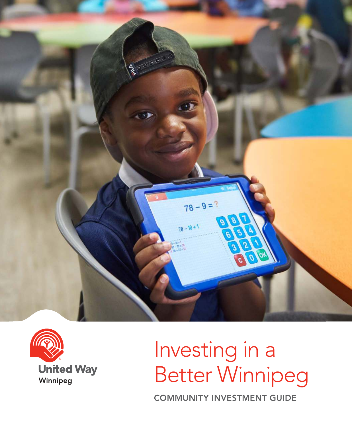



# Investing in a Better Winnipeg

COMMUNITY INVESTMENT GUIDE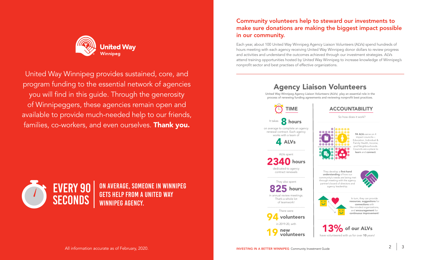

United Way Winnipeg provides sustained, core, and program funding to the essential network of agencies you will find in this guide. Through the generosity of Winnipeggers, these agencies remain open and available to provide much-needed help to our friends, families, co-workers, and even ourselves. Thank you.



ON AVERAGE, SOMEONE IN WINNIPEG GETS HELP FROM A UNITED WAY WINNIPEG AGENCY.

# Community volunteers help to steward our investments to make sure donations are making the biggest impact possible in our community.

Each year, about 100 United Way Winnipeg Agency Liaison Volunteers (ALVs) spend hundreds of hours meeting with each agency receiving United Way Winnipeg donor dollars to review progress and activities and understand the outcomes achieved through our investment strategies. ALVs attend training opportunities hosted by United Way Winnipeg to increase knowledge of Winnipeg's nonprofit sector and best practises of effective organizations.

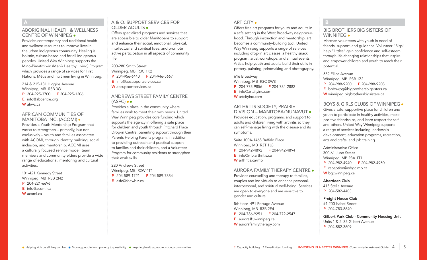#### ABORIGINAL HEALTH & WELLNESS CENTRE OF WINNIPEG

Provides contemporary and traditional health and wellness resources to improve lives in the urban Indigenous community. Healing is holistic, culture-based and for all Indigenous peoples. United Way Winnipeg supports the Mino-Pimatiziiwin (Men's Healthy Living) Program which provides a range of services for First Nations, Métis and Inuit men living in Winnipeg.

214 & 215-181 Higgins Avenue Winnipeg, MB R3B 3G1 P 204-925-3700 F 204-925-1206 E info@abcentre.org

W ahwc.ca

# AFRICAN COMMUNITIES OF MANITOBA INC. (ACOMI)

Provides a Youth Mentorship Program that works to strengthen – primarily, but not exclusively – youth and families associated with ACOMI, through identity building, social inclusion, and mentorship. ACOMI uses a culturally focused service model; team members and community elders provide a wide range of educational, mentoring and cultural activities.

101-421 Kennedy Street Winnipeg, MB R3B 2N2 P 204-221-6696 E info@acomi.ca

W acomi.ca

### A & O: SUPPORT SERVICES FOR OLDER ADULTS

Offers specialized programs and services that are accessible to older Manitobans to support and enhance their social, emotional, physical, intellectual and spiritual lives, and promote active participation in all aspects of community life.

200-280 Smith Street Winnipeg, MB R3C 1K2 P 204-956-6440 F 204-946-5667

- E info@aosupportservices.ca
- W aosupportservices.ca

#### ANDREWS STREET FAMILY CENTRE  $(ASEC) \bullet \bullet$

Provides a place in the community where families work to meet their own needs. United Way Winnipeg provides core funding which supports the agency in offering a safe place for children and youth through Pritchard Place Drop-in Centre, parenting support through their Parents Helping Parents program, in addition to providing outreach and practical support to families and their children, and a Volunteer Program for community residents to strengthen their work skills.

220 Andrews Street Winnipeg, MB R2W 4T1 P 204-589-1721 F 204-589-7354 E asfc@shawbiz.ca

# ART CITY .

Offers free art programs for youth and adults in a safe setting in the West Broadway neighbourhood. Through instruction and mentorship, art becomes a community-building tool. United Way Winnipeg supports a range of services including drop-in art classes, a healthy snack program, artist workshops, and annual events. Artists help youth and adults build their skills in pottery, painting, printmaking and photography.

616 Broadway Winnipeg, MB R3C 0W8 P 204-775-9856 F 204-784-2882 E info@artcityinc.com W artcityinc.com

# ARTHRITIS SOCIETY, PRAIRIE

DIVISION – MANITOBA/NUNAVUT Provides education, programs, and support to adults and children living with arthritis so they can self-manage living with the disease and its symptoms.

Suite 100A-1465 Buffalo Place Winnipeg, MB R3T 1L8 P 204-942-4892 F 204-942-4894 E info@mb.arthritis.ca W arthritis.ca/mb

AURORA FAMILY THERAPY CENTRE Provides counselling and therapy to families, couples and individuals to enhance personal, interpersonal, and spiritual well-being. Services are open to everyone and are sensitive to gender and culture.

5th floor–491 Portage Avenue Winnipeg, MB R3B 2E4 P 204-786-9251 F 204-772-2547 E aurora@uwinnipeg.ca W aurorafamilytherapy.com

# B

# BIG BROTHERS BIG SISTERS OF WINNIPEG •

Matches volunteers with youth in need of friends, support, and guidance. Volunteer "Bigs" help "Littles" gain confidence and self-esteem through life-changing relationships that inspire and empower children and youth to reach their potential.

532 Ellice Avenue Winnipeg, MB R3B 1Z2 P 204-988-9200 F 204-988-9208 E bbbswpg@bigbrothersbigsisters.ca W winnipeg.bigbrothersbigsisters.ca

# BOYS & GIRLS CLUBS OF WINNIPEG .

Gives a safe, supportive place for children and youth to participate in healthy activities, make positive friendships, and learn respect for self and others. United Way Winnipeg supports a range of services including leadership development, education programs, recreation, arts and crafts, and job training.

Administrative Office 300-61 Juno Street Winnipeg, MB R3A 1T1 P 204-982-4940 F 204-982-4950 E reception@wbgc.mb.ca W bgcwinnipeg.ca

#### Aberdeen Club

415 Stella Avenue P 204-582-4403

#### Freight House Club

#4-200 Isabel Street P 204-783-8640

Gilbert Park Club - Community Housing Unit Units 1 & 2–35 Gilbert Avenue P 204-582-3609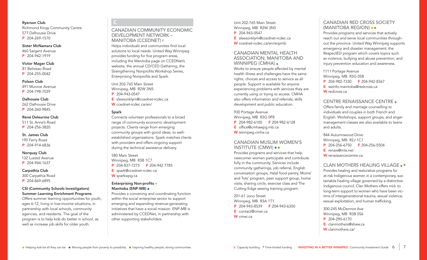#### Ryerson Club

Richmond Kings Community Centre 577 Dalhousie Drive P 204-269-1570

#### Sister McNamara Club

460 Sargent Avenue P 204-942-1919

#### Victor Mager Club

- 81 Beliveau Road
- P 204-255-0042

#### Polson Club

491 Munroe Avenue

P 204-798-7039

#### Dalhousie Club

262 Dalhousie Drive P 204-260-9845

#### René Deleurme Club

511 St. Anne's Road P 204-256-3820

# St. James Club

190 Ferry Road P 204-914-6836

#### **Norquay Club**

132 Lusted Avenue P 204-944-1637

#### Carpathia Club

300 Carpathia Road P 204-869-6895

#### CSI (Community Schools Investigators) Summer Learning Enrichment Programs

Offers summer learning opportunities for youth, ages 6-12, living in low-income situations, in partnership with local schools, community agencies, and residents. The goal of the program is to help kids do better in school, as well as increase job skills for older youth.

### CANADIAN COMMUNITY ECONOMIC DEVELOPMENT NETWORK – MANITOBA (CCEDNET) <sup>C</sup>

Helps individuals and communities find local solutions to local needs. United Way Winnipeg provides funding for five program areas, including the Manitoba page on CCEDNet's website, the annual CD/CED Gathering, the Strengthening Nonprofits Workshop Series, Enterprising Nonprofits and Spark.

Unit 202-765 Main Street Winnipeg, MB R2W 3N5 P 204-943-0547

E sleesonklym@ccednet-rcdec.ca W ccednet-rcdec.ca/en/

#### Spark

C

Connects volunteer professionals to a broad range of community economic development projects. Clients range from emerging community groups with good ideas, to wellestablished organizations. Spark matches clients with providers and offers ongoing support during the technical assistance delivery.

#### 580 Main Street Winnipeg, MB R3B 1C7 P 204-837-7275 F 204-942 7785

E spark@ccednet-rcdec.ca W sparkwpg.ca

#### Enterprising Non-profits – Manitoba (ENP-MB)

Provides a convening and coordinating function within the social enterprise sector to support emerging and expanding revenue-generating initiatives that have a social mission. ENP-MB is administered by CCEDNet, in partnership with other supporting stakeholders.

Unit 202-765 Main Street Winnipeg, MB R2W 3N5 P 204-943-0547 E sleesonklym@ccednet-rcdec.ca W ccednet-rcdec.ca/en/enpmb

#### CANADIAN MENTAL HEALTH ASSOCIATION, MANITOBA AND WINNIPEG (CMHA) .

Works to ensure people affected by mental health illness and challenges have the same rights, choices and access to service as all people. Support is available for anyone experiencing problems with services they are currently using or trying to access. CMHA also offers information and referrals, skills development and public education.

930 Portage Avenue Winnipeg, MB R3G 0P8 P 204-982-6100 F 204-982-6128 E office@cmhawpg.mb.ca W winnipeg.cmha.ca

#### CANADIAN MUSLIM WOMEN'S INSTITUTE (CMWI)

Provides programs and services that help newcomer women participate and contribute fully in the community. Services include community gatherings, job referral, English conversation groups, Halal food pantry, Moms' and Tots' program, peer support group, home visits, sharing circle, exercise class and The Cutting Edge sewing training program.

201-61 Juno Street Winnipeg, MB R3A 1T1 P 204-943-8539 F 204-943-6350 E contact@cmwi.ca W cmwi.ca

# CANADIAN RED CROSS SOCIETY (MANITOBA REGION)

Provides programs and services that actively reach out and serve local communities throughout the province. United Way Winnipeg supports emergency and disaster management; the RespectED program which covers topics such as violence, bullying and abuse prevention; and injury prevention education and awareness.

#### 1111 Portage Avenue Winnipeg, MB R3G 0S8 P 204-982-7330 F 204-942-8367 E wzinfo.manitoba@redcross.ca W redcross.ca

# CENTRE RENAISSANCE CENTRE

Offers family and marriage counselling to individuals and couples in both French and English. Workshops, support groups, and anger management classes are also available to teens and adults.

844 Autumnwood Drive Winnipeg, MB R2J 1C1 P 204-256-6750 F 204-256-5504 E renais@mts.net W renaissancecentre.ca

### CLAN MOTHERS HEALING VILLAGE.

Provides healing and restorative programs for at-risk Indigenous women in a contemporary, sustainable healing village governed by a distinctive Indigenous council. Clan Mothers offers mid- to long-term support to women who have been victims of intergenerational trauma, sexual violence, sexual exploitation, and human trafficking.

300-245 McDermot Ave Winnipeg, MB R3B 0S6 P 204-290-6170 E clanmothers@shaw.ca W clanmothers.ca/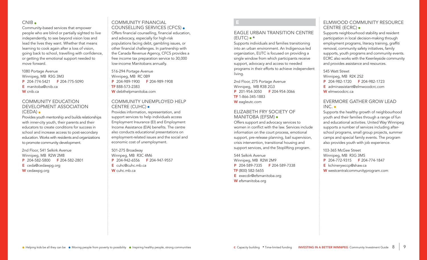#### $CNIR$

Community-based services that empower people who are blind or partially sighted to live independently, to see beyond vision loss and lead the lives they want. Whether that means learning to cook again after a loss of vision, going back to school, travelling with confidence, or getting the emotional support needed to move forward.

1080 Portage Avenue Winnipeg, MB R3G 3M3 P 204-774-5421 F 204-775-5090 E manitoba@cnib.ca W cnib.ca

#### COMMUNITY EDUCATION DEVELOPMENT ASSOCIATION (CEDA)

Provides youth mentorship and builds relationships with inner-city youth, their parents and their educators to create conditions for success in school and increase access to post-secondary education. Works with residents and organizations to promote community development.

2nd Floor, 541 Selkirk Avenue Winnipeg, MB R2W 2M8 P 204-582-5800 F 204-582-2801 E ceda@cedawpg.org W cedawpg.org

# COMMUNITY FINANCIAL COUNSELLING SERVICES (CFCS)

Offers financial counselling, financial education, and advocacy, especially for high-risk populations facing debt, gambling issues, or other financial challenges. In partnership with the Canada Revenue Agency, CFCS provides a free income tax preparation service to 30,000 low-income Manitobans annually.

516-294 Portage Avenue Winnipeg, MB RC 0B9 P 204-989-1900 F 204-989-1908 TF 888-573-2383 W debthelpmanitoba.com

# COMMUNITY UNEMPLOYED HELP CENTRE (CUHC)

Provides information, representation, and support services to help individuals access Employment Insurance (EI) and Employment Income Assistance (EIA) benefits. The centre also conducts educational presentations on employment-related issues and the social and economic cost of unemployment.

501-275 Broadway Winnpeg, MB R3C 4M6 P 204-942-6556 F 204-947-9557 E cuhc@cuhc.mb.ca W cuhc.mb.ca

E

#### EAGLE URBAN TRANSITION CENTRE  $(EUTC) \bullet *$

Supports individuals and families transitioning into an urban environment. An Indigenous-led organization, EUTC is focused on providing a single window from which participants receive support, advocacy and access to needed programs in their efforts to achieve independent living.

2nd Floor, 275 Portage Avenue Winnipeg, MB R3B 2G3 P 201-954-3050 F 204-954-3066 TF 1-866-345-1883 W eagleutc.com

#### ELIZABETH FRY SOCIETY OF MANITOBA (EFSM)

Offers support and advocacy services to women in conflict with the law. Services include information on the court process, emotional support, pre-release planning, bail supervision, crisis intervention, transitional housing and support services, and the Stoplifting program.

544 Selkirk Avenue Winnipeg, MB R2W 2M9 P 204-589-7335 F 204-589-7338 TF (800) 582-5655 E execdir@efsmanitoba.org W efsmanitoba.org

# ELMWOOD COMMUNITY RESOURCE CENTRE (ECRC)

Supports neighbourhood stability and resident participation in local decision-making through employment programs, literacy training, graffiti removal, community safety initiatives, family supports, youth programs and community events. ECRC also works with the Keenleyside community and provides assistance and resources.

#### 545 Watt Street

Winnipeg, MB R2K 2S2 P 204-982-1720 F 204-982-1723

E adminassistant@elmwoodcrc.com

W elmwoodcrc.ca

# EVERMORE GATHER GROW LEAD INC.

Supports the healthy growth of neighbourhood youth and their families through a range of fun and educational activities. United Way Winnipeg supports a number of services including afterschool programs, small group projects, summer camps and special family events. The program also provides youth with job experience.

103-365 McGee Street Winnipeg, MB R3G 3M5 P 204-772-9315 F 204-774-1847 E kchinerywccp@shaw.ca W westcentralcommunityprogram.com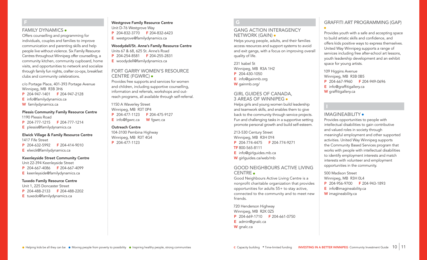#### FAMILY DYNAMICS

F

Offers counselling and programming for individuals, couples and families to improve communication and parenting skills and help people live without violence. Six Family Resource Centres throughout Winnipeg offer counselling, a community kitchen, community cupboard, home visits, and opportunities to network and socialize through family fun nights, crafter co-ops, breakfast clubs and community celebrations.

c/o Portage Place, 401-393 Portage Avenue Winnipeg, MB R3B 3H6

- P 204-947-1401 F 204-947-2128
- E info@familydynamics.ca
- W familydynamics.ca

#### Plessis Community Family Resource Centre

1190 Plessis Road P 204-777-1215 F 204-777-1214 E plessis@familydynamics.ca

# Elwick Village & Family Resource Centre

1417 Fife Street

- P 204-632-5992 F 204-414-9010
- E elwick@familydynamics.ca

#### Keenleyside Street Community Centre

Unit 22-394 Keenleyside Street

- P 204-667-4086 F 204-667-4099
- E keenleyside@familydynamics.ca

#### Tuxedo Family Resource Centre

Unit 1, 225 Doncaster Street P 204-488-2133 F 204-488-2202 E tuxedo@familydynamics.ca

### Westgrove Family Resource Centre

Unit D-76 Westgrove Way P 204-832-3770 F 204-832-6423 E westgrove@familydynamics.ca

#### Woodydell/St. Anne's Family Resource Centre Units 67 & 68, 625 St. Anne's Road

- P 204-254-8581 F 204-255-2831
- E woodydell@familydynamics.ca

#### FORT GARRY WOMEN'S RESOURCE CENTRE (FGWRC)

Provides free supports and services for women and children, including supportive counselling, information and referrals, workshops and outreach programs, all available through self-referral.

1150 A Waverley Street Winnipeg, MB R3T 0P4 P 204-477-1123 F 204-475-9127 E info@fgwrc.ca **W** fgwrc.ca

#### Outreach Centre

104-3100 Pembina Highway Winnipeg, MB R3T 4G4 P 204-477-1123

# $G$

# GANG ACTION INTERAGENCY NETWORK (GAIN)

Helps young people, adults, and their families access resources and support systems to avoid and exit gangs, with a focus on improving overall quality of life.

231 Isabel St Winnipeg, MB R3A 1H2 P 204-430-1050 E info@gainmb.org W gainmb.org/

#### GIRL GUIDES OF CANADA, 3 AREAS OF WINNIPEG

Helps girls and young women build leadership and teamwork skills, and enables them to give back to the community through service projects. Fun and challenging tasks in a supportive setting promote personal growth and build self-esteem.

213-530 Century Street Winnipeg, MB R3H 0Y4 P 204-774-4475 F 204-774-9271 TF 800-565-8111 E info@girlguides.mb.ca W girlguides.ca/web/mb

### GOOD NEIGHBOURS ACTIVE LIVING CENTRE

Good Neighbours Active Living Centre is a nonprofit charitable organization that provides opportunities for adults 55+ to stay active, connected to the community and to meet new friends.

720 Henderson Highway Winnipeg, MB R2K 0Z5 P 204-669-1710 F 204-661-0750 E admin@gnalc.ca W gnalc.ca

# GRAFFITI ART PROGRAMMING (GAP)

Provides youth with a safe and accepting space to build artistic skills and confidence, and offers kids positive ways to express themselves. United Way Winnipeg supports a range of services including free after-school art lessons, youth leadership development and an exhibit space for young artists.

109 Higgins Avenue Winnipeg, MB R3B 0B5 P 204-667-9960 F 204-949-0696

- E info@graffitigallery.ca
- W graffitigallery.ca

# IMAGINEABILITY

Provides opportunities to people with intellectual disabilities to gain contributive and valued roles in society through meaningful employment and other supported activities. United Way Winnipeg supports the Community Based Services program that works with people with intellectual disabilities to identify employment interests and match interests with volunteer and employment opportunities in the community.

500 Madison Street Winnipeg, MB R3H 0L4 P 204-956-9700 F 204-943-1893 E info@imagineability.ca W imagineability.ca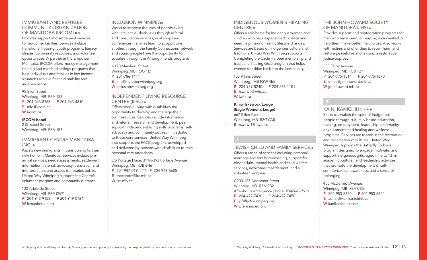### IMMIGRANT AND REFUGEE COMMUNITY ORGANIZATION OF MANITOBA (IRCOM)

Provides support and settlement services to newcomer families. Services include transitional housing, youth programs, literacy classes, community resources, and volunteer opportunities. A partner in the Empower Manitoba, IRCOM offers money management training and matched savings programs that help individuals and families in low-income situations achieve financial stability and independence.

#### 95 Ellen Street

Winnipeg, MB R3A 1S8 P 204-943-8765 F 204-943-4810 E info@ircom.ca W ircom.ca

#### IRCOM Isabel

215 Isabel Street Winnipeg, MB R3A 1R5

### IMMIGRANT CENTRE MANITOBA INC.

Assists new immigrants in transitioning to their new home in Manitoba. Services include prearrival services, needs assessments, settlement information, referral, advocacy, translation and interpretation, and access to notaries public. United Way Winnipeg supports the Centre's volunteer program and community outreach.

100 Adelaide Street Winnipeg, MB R3A 0W2 P 204-943-9158 F 204-949-0734 W icmanitoba.com

#### INCLUSION WINNIPEG

Works to improve the lives of people living with intellectual disabilities through referral and consultation services, workshops and conferences. Families learn to support one another through the Family Connections network and young people have the opportunity to socialize through the Among Friends program.

1-120 Maryland Street Winnipeg, MB R3G 1L1

P 204-786-1414

- E info@inclusionwinnipeg.org
- W inclusionwinnipeg.org

# INDEPENDENT LIVING RESOURCE CENTRE (ILRC)

Offers people living with disabilities the opportunity to develop and manage their own resources. Services include information and referral, research and development, peer support, independent living skills programs, selfadvocacy and community outreach. In addition to these core services, United Way Winnipeg also supports the PACE program, developed and delivered by persons with disabilities to train personal care attendants.

c/o Portage Place, 311A-393 Portage Avenue Winnipeg, MB R3B 3H6 P 204-947-0194 TTY F 204-943-6625 E thecentre@ilrc.mb.ca

W ilrc.mb.ca

# INDIGENOUS WOMEN'S HEALING CENTRE

Offers a safe home for Indigenous women and children who have experienced violence and need help making healthy lifestyle changes. Services are based on Indigenous culture and traditions. United Way Winnipeg supports Completing the Circle – a peer mentorship and traditional healing circle program that helps women transition back into the community.

105 Aikins Street Winnipeg, MB R2W 4E6 P 204-989-8240 F 204-586-1101 E rswnwtl@iwhc.ca W iwhc.ca

Kihiw Iskewock Lodge (Eagle Women's Lodge) 667 Ellice Avenue Winnipeg, MB R3G 0A8 E rswnwt1@nwtc.cc

#### JEWISH CHILD AND FAMILY SERVICE Offers a range of services including personal, marriage and family counselling, support for older adults, mental health and child welfare services, newcomer resettlement, and a volunteer program.

C200-123 Doncaster Street Winnpeg, MB R3N 2B2 After-hours emergency phone: 204-946-9510 P 204-477-7430 F 204-477-7450 E jcfs@jcfswinnipeg.org W jcfswinnipeg.org

# THE JOHN HOWARD SOCIETY OF MANITOBA (JHS)

Provides support and reintegration programs for men who have been, or may be, incarcerated, to help them make better life choices. Also works with victims and offenders to repair harm and restore peaceful relations using a restorative justice approach.

583 Ellice Avenue Winnipeg, MB R3B 1Z7 P 204-775-1514 F 204-775-1670 E office@johnhoward.mb.ca W johnhoward.mb.ca

# K KÃ NI KÃNICHIHK

Seeks to awaken the spirit of Indigenous people through culturally based education, training, employment, leadership, community development, and healing and wellness programs. Services are rooted in the restoration and reclamation of cultures. United Way Winnipeg supports the Butterfly Club – a program designed to engage, motivate, and support Indigenous girls, aged nine to 13, in academic, cultural, and leadership activities that promote the development of selfconfidence, self-awareness, and a sense of belonging.

455 McDermot Avenue Winnipeg, MB R3A 0B5 P 204-953-5820 F 204-953-5824 E admin@kanikanichihk.ca W kanikanichihk.com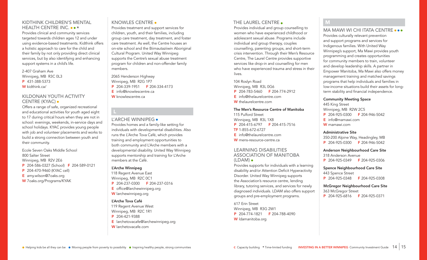#### KIDTHINK CHILDREN'S MENTAL HEALTH CENTRE INC. ..\*

Provides clinical and community services targeted towards children ages 12 and under using evidence-based treatments. Kidthink offers a holistic approach to care for the child and their family by not only providing direct clinical services, but by also identifying and enhancing support systems in a child's life.

2-407 Graham Ave Winnipeg, MB R3C 0L3 P 431-388-5373 W kidthink.ca/

#### KILDONAN YOUTH ACTIVITY CENTRE (KYAC)

Offers a range of safe, organized recreational and educational activities for youth aged eight to 17 during critical hours when they are not in school: evenings, weekends, in-service days and school holidays. KYAC provides young people with job and volunteer placements and works to build a strong connection between youth and their community.

Ecole Seven Oaks Middle School 800 Salter Street Winnipeg, MB R2V 2E6 P 204-586-0327 (School) F 204-589-0121 P 204-470-9460 (KYAC cell) E amy.wilson@7oaks.org

- 
- W 7oaks.org/Programs/KYAK

#### KNOWLES CENTRE

Provides treatment and support services for children, youth, and their families, including group care treatment, day treatment, and foster care treatment. As well, the Centre houses an on-site school and the Biimautaziiwin Aboriginal Cultural Program. United Way Winnipeg supports the Centre's sexual abuse treatment program for children and non-offender family members.

2065 Henderson Highway Winnipeg, MB R2G 1P7 P 204-339-1951 F 204-334-4173 E info@knowlescentre.ca

W knowlescentre.ca

#### L'ARCHE WINNIPEG

Provides homes and a family-like setting for individuals with developmental disabilities. Also runs the L'Arche Tova Café, which provides training and employment opportunities to both community and L'Arche members with a developmental disability. United Way Winnipeg supports mentorship and training for L'Arche members at the Café.

#### L'Arche Winnipeg

118 Regent Avenue East Winnipeg, MB R2C 0C1 P 204-237-0300 F 204-237-0316 E office@larchewinnipeg.org W larchewinnipeg.org

#### L'Arche Tova Café

119 Regent Avenue West Winnipeg, MB R2C 1R1

- P 204-421-9388
- E larchetovacafe@larchewinnipeg.org W larchetovacafe.com

# THE LAUREL CENTRE.

Provides individual and group counselling to women who have experienced childhood or adolescent sexual abuse. Programs include individual and group therapy, couples counselling, parenting groups, and short-term crisis intervention. Through their Men's Resource Centre, The Laurel Centre provides supportive services like drop-in and counselling for men who have experienced trauma and stress in their lives.

104 Roslyn Road Winnipeg, MB R3L 0G6 P 204-783-5460 F 204-774-2912 E info@thelaurelcentre.com W thelaurelcentre.com

#### The Men's Resource Centre of Manitoba

115 Pulford Street Winnipeg, MB R3L 1X8 P 204-415-6797 F 204-415-7516 TF 1-855-672-6727 E info@thelaurelcentre.com W mens-resource-centre.ca

#### LEARNING DISABILITIES ASSOCIATION OF MANITOBA (LDAM)

Provides supports for individuals with a learning disability and/or Attention Deficit Hyperactivity Disorder. United Way Winnipeg supports the Association's resource centre, lending library, tutoring services, and services for newly diagnosed individuals. LDAM also offers support groups and pre-employment programs.

617 Erin Street Winnipeg, MB R3G 2W1 P 204-774-1821 F 204-788-4090 W ldamanitoba.org

# M

#### MA MAWI WI CHI ITATA CENTRE ...

Provides culturally relevant prevention and support programs and services for Indigenous families. With United Way Winnipeg's support, Ma Mawi provides youth programming and creates opportunities for community members to train, volunteer and develop leadership skills. A partner in Empower Manitoba, Ma Mawi also offers money management training and matched savings programs that help individuals and families in low-income situations build their assets for longterm stability and financial independence.

#### Community Meeting Space

445 King Street Winnipeg, MB R2W 2C5 P 204-925-0300 F 204-946-5042 E info@mamawi.com W mamawi.com

#### Administrative Site

350-200 Alpine Way, Headingley, MB P 204-925-0300 F 204-946-5042

#### Anderson Neighbourhood Care Site

318 Anderson Avenue P 204-925-0349 F 204-925-0306

Spence Neighbourhood Care Site 443 Spence Street

P 204-925-0348 F 204-925-0308

McGregor Neighbourhood Care Site 363 McGregor Street P 204-925-6816 F 204-925-0371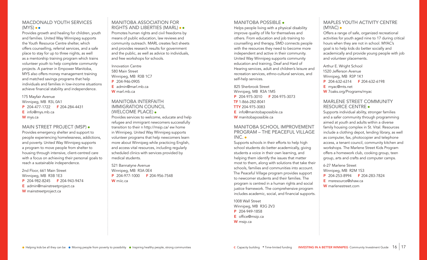# MACDONALD YOUTH SERVICES  $(MYS) \bullet \bullet$

Provides growth and healing for children, youth and families. United Way Winnipeg supports the Youth Resource Centre shelter, which offers counselling, referral services, and a safe place to stay for up to three nights, as well as a mentorship training program which trains volunteer youth to help complete community projects. A partner in Empower Manitoba, MYS also offers money management training and matched savings programs that help individuals and families in low-income situations achieve financial stability and independence.

175 Mayfair Avenue Winnipeg, MB R3L 0A1 P 204-477-1722 F 204-284-4431 E info@mys.mb.ca W mys.ca

#### MAIN STREET PROJECT (MSP)

Provides emergency shelter and support to people experiencing homelessness, addictions, and poverty. United Way Winnipeg supports a program to move people from shelter to housing through intensive, client-centred care with a focus on achieving their personal goals to reach a sustainable independence.

2nd Floor, 661 Main Street Winnipeg, MB R3B 1E3 P 204-982-8245 F 204-943-9474 E admin@mainstreetproject.ca W mainstreetproject.ca

#### MANITOBA ASSOCIATION FOR RIGHTS AND LIBERTIES (MARL) ••

Promotes human rights and civil freedoms by means of public education, law reviews and community outreach. MARL creates fact sheets and provides research results for government and the public, as well as advice to individuals, and free workshops for schools.

Innovation Centre 580 Main Street Winnipeg, MB R3B 1C7 P 204-946-0905

E admin@marl.mb.ca W marl.mb.ca

### MANITOBA INTERFAITH IMMIGRATION COUNCIL (WELCOME PLACE)

Provides services to welcome, educate and help refugee and immigrant newcomers successfully transition to their n http://msip.ca/ ew home in Winnipeg. United Way Winnipeg supports volunteer programs that help newcomers learn more about Winnipeg while practicing English, and access vital resources, including regularly scheduled clinics with services provided by medical students.

521 Bannatyne Avenue Winnipeg, MB R3A 0E4 P 204-977-1000 F 204-956-7548 W miic.ca

#### MANITOBA POSSIBLE .

Helps people living with a physical disability improve quality of life for themselves and others. From education and job training to counselling and therapy, SMD connects people with the resources they need to become more independent and active in their community. United Way Winnipeg supports community education and training, Deaf and Hard of Hearing services, adult and children's leisure and recreation services, ethno-cultural services, and self-help services.

825 Sherbrook Street Winnipeg, MB R3A 1M5 P 204-975-3010 F 204-975-3073 TF 1-866-282-8041 TTY 204-975-3083 E info@manitobapossible.ca W manitobapossible.ca

# MANITOBA SCHOOL IMPROVEMENT PROGRAM – THE PEACEFUL VILLAGE  $INC.$

Supports schools in their efforts to help high school students do better academically, giving students a voice in their own learning, and helping them identify the issues that matter most to them, along with solutions that take their schools, families and communities into account. The Peaceful Village program provides support to newcomer students and their families. The program is centred in a human rights and social justice framework. The comprehensive program includes academic, social, and financial supports.

1008 Wall Street Winnipeg, MB R3G 2V3 P 204-949-1858 E office@msip.ca W msip.ca

# MAPLES YOUTH ACTIVITY CENTRE (MYAC)

Offers a range of safe, organized recreational activities for youth aged nine to 17 during critical hours when they are not in school. MYAC's goal is to help kids do better socially and academically and provide young people with job and volunteer placements.

Arthur E. Wright School 1520 Jefferson Avenue Winnipeg, MB R3P 1K1 P 204-632-6314 F 204-632-6198 E myac@mts.net W 7oaks.org/Programs/myac

#### MARLENE STREET COMMUNITY RESOURCE CENTRE

Supports individual ability, stronger families and a safer community through programming aimed at youth and adults within a diverse family housing complex in St. Vital. Resources include a clothing depot, lending library, as well as computer, fax, photocopier and telephone access, a tenant council, community kitchen and workshops. The Marlene Street Kids Program offers a homework club, cooking group, teen group, arts and crafts and computer camps.

6-27 Marlene Street Winnipeg, MB R2M 1S3 P 204-253-8994 F 204-283-7824 E msresource@shaw.ca W marlenestreet.com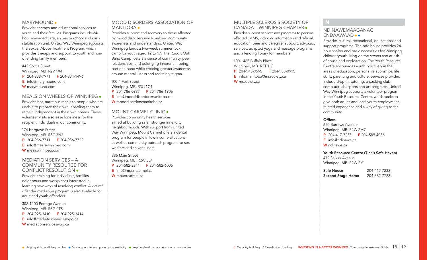#### MARYMOUND .

Provides therapy and educational services to youth and their families. Programs include 24 hour managed care, an onsite school and crisis stabilization unit. United Way Winnipeg supports the Sexual Abuse Treatment Program, which provides therapy and support to youth and nonoffending family members.

442 Scotia Street Winnipeg, MB R2V 1X4 P 204-338-7971 F 204-334-1496 E info@marymound.com

W marymound.com

#### MEALS ON WHEELS OF WINNIPEG

Provides hot, nutritious meals to people who are unable to prepare their own, enabling them to remain independent in their own homes. These volunteer visits also ease loneliness for the recipient individuals in our community.

174 Hargrave Street Winnipeg, MB R3C 3N2 P 204-956-7711 F 204-956-7722 E info@mealswinnipeg.com W mealswinnipeg.com

#### MEDIATION SERVICES – A COMMUNITY RESOURCE FOR CONFLICT RESOLUTION

Provides training for individuals, families, neighbours and workplaces interested in learning new ways of resolving conflict. A victim/ offender mediation program is also available for adult and youth offenders.

302-1200 Portage Avenue Winnipeg, MB R3G 0T5 P 204-925-3410 F 204-925-3414 E info@mediationserviceswpg.ca W mediationserviceswpg.ca

#### MOOD DISORDERS ASSOCIATION OF MANITOBA ·

Provides support and recovery to those affected by mood disorders while building community awareness and understanding. United Way Winnipeg funds a two-week summer rock camp for youth aged 12 to 17. The Rock It Out! Band Camp fosters a sense of community, peer relationships, and belonging inherent in being part of a band while creating greater awareness around mental illness and reducing stigma.

100-4 Fort Street Winnipeg, MB R3C 1C4 P 204-786-0987 F 204-786-1906 E info@mooddisordersmanitoba.ca W mooddisordersmanitoba.ca

#### MOUNT CARMEL CLINIC .

Provides community health services aimed at building safer, stronger inner-city neighbourhoods. With support from United Way Winnipeg, Mount Carmel offers a dental program for people in low-income situations as well as community outreach program for sex workers and solvent users.

886 Main Street Winnipeg, MB R2W 5L4 P 204-582-2311 F 204-582-6006 E info@mountcarmel.ca

W mountcarmel.ca

# MULTIPLE SCLEROSIS SOCIETY OF CANADA – WINNIPEG CHAPTER

Provides support services and programs to persons affected by MS, including information and referral, education, peer and caregiver support, advocacy services, adapted yoga and massage programs, and a lending library for members.

100-1465 Buffalo Place Winnipeg, MB R3T 1L8 P 204-943-9595 F 204-988-0915 E info.manitoba@mssociety.ca W mssociety.ca

# N

#### NDINAWEMAAGANAG ENDAAWAAD

Provides cultural, recreational, educational and support programs. The safe house provides 24 hour shelter and basic necessities for Winnipeg children/youth living on the streets and at risk of abuse and exploitation. The Youth Resource Centre encourages youth positively in the areas of education, personal relationships, life skills, parenting and culture. Services provided include drop-in, tutoring, a cooking club, computer lab, sports and art programs. United Way Winnipeg supports a volunteer program in the Youth Resource Centre, which seeks to give both adults and local youth employmentrelated experience and a way of giving to the community.

#### **Offices**

650 Burrows Avenue Winnipeg, MB R2W 2M7

- P 204-417-7233 F 204-589-4086
- E info@ndinawe.ca
- W ndinawe.ca

#### Youth Resource Centre (Tina's Safe Haven) 472 Selkirk Avenue

Winnipeg, MB R2W 2K1

Safe House 204-417-7233 Second Stage Home 204-582-7783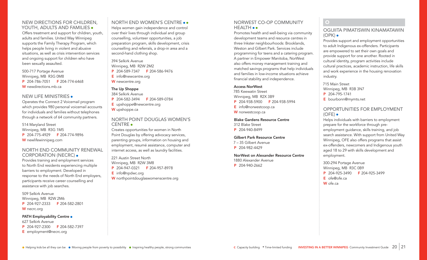# NEW DIRECTIONS FOR CHILDREN, YOUTH, ADULTS AND FAMILIES .

Offers treatment and support for children, youth, adults and families. United Way Winnipeg supports the Family Therapy Program, which helps people living in violent and abusive situations, as well as crisis intervention services and ongoing support for children who have been sexually assaulted.

500-717 Portage Avenue Winnipeg, MB R3G 0M8 P 204-786-7051 F 204-774-6468 W newdirections.mb.ca

#### NEW LIFE MINISTRIES

Operates the Connect 2 Voicemail program which provides 980 personal voicemail accounts for individuals and families without telephones through a network of 64 community partners.

514 Maryland Street Winnipeg, MB R3G 1M5 P 204-775-4929 F 204-774-9896 W newlifewinnipeg.com

#### NORTH END COMMUNITY RENEWAL CORPORATION (NECRC)

Provides training and employment services to North End residents experiencing multiple barriers to employment. Developed in response to the needs of North End employers, participants receive career counselling and assistance with job searches.

509 Selkirk Avenue Winnipeg, MB R2W 2M6 P 204-927-2333 F 204-582-2801 W necrc.org

#### PATH Employability Centre .

627 Selkirk Avenue P 204-927-2300 F 204-582-7397 E employment@necrc.org

# NORTH END WOMEN'S CENTRE Helps women gain independence and control over their lives through individual and group

counselling, volunteer opportunities, a job preparation program, skills development, crisis counselling and referrals, a drop-in area and a second-hand clothing shop.

394 Selkirk Avenue Winnipeg, MB R2W 2M2 P 204-589-7347 F 204-586-9476 E info@newcentre.org W newcentre.org

# The Up Shoppe

384 Selkirk Avenue P 204-582-3494 F 204-589-0784 E upshoppe@newcentre.org W upshoppe.ca

#### NORTH POINT DOUGLAS WOMEN'S CENTRE

Creates opportunities for women in North Point Douglas by offering advocacy services, parenting groups, information on housing and employment, resumé assistance, computer and internet access, as well as laundry facilities.

221 Austin Street North Winnipeg, MB R2W 3M8 P 204-947-0321 F 204-957-8978 E info@npdwc.org W northpointdouglaswomenscentre.org

# NORWEST CO-OP COMMUNITY HEALTH ••

Promotes health and well-being via community development teams and resource centres in three Inkster neighbourhoods: Brooklands, Weston and Gilbert Park. Services include programming for teens and a catering program. A partner in Empower Manitoba, NorWest also offers money management training and matched savings programs that help individuals and families in low-income situations achieve financial stability and independence.

#### Access NorWest

785 Keewatin Street Winnipeg, MB R2X 3B9 P 204-938-5900 F 204-938-5994 E info@norwestcoop.ca W norwestcoop.ca

#### Blake Gardens Resource Centre

312 Blake Street

P 204-940-8499

#### Gilbert Park Resource Centre

7 – 35 Gilbert Avenue P 204-982-4429

#### NorWest on Alexander Resource Centre

1880 Alexander Avenue P 204-940-2662

O

#### OGIJIITA PIMATISWIN KINAMATAWIN  $(OPK)$   $\bullet$

Provides support and employment opportunities to adult Indigenous ex-offenders. Participants are empowered to set their own goals and provide support for one another. Rooted in cultural identity, program activities include cultural practices, academic instruction, life skills and work experience in the housing renovation industry.

715 Main Street Winnipeg, MB R3B 3N7 P 204-795-1741

E bourbonn@mymts.net

# OPPORTUNITIES FOR EMPLOYMENT  $(OFE)$ .

Helps individuals with barriers to employment prepare for the workforce through preemployment guidance, skills training, and job search assistance. With support from United Way Winnipeg, OFE also offers programs that assist ex-offenders, newcomers and Indigenous youth aged 18 to 29 with skills development and employment.

300-294 Portage Avenue Winnipeg, MB R3C 0B9 P 204-925-3490 F 204-925-3499 E ofe@ofe.ca W ofe.ca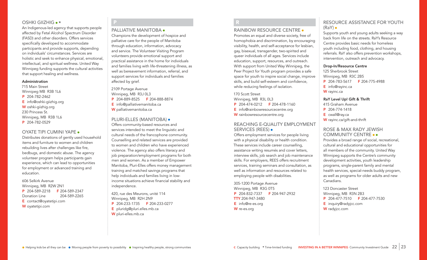#### OSHKI GIIZHIG • \*

An Indigenous-led agency that supports people affected by Fetal Alcohol Spectrum Disorder (FASD) and other disorders. Offers services specifically developed to accommodate participants and provide supports, depending on individuals' circumstances. Services are holistic and seek to enhance physical, emotional, intellectual, and spiritual wellness. United Way Winnipeg funding supports the cultural activities that support healing and wellness.

#### Administration

715 Main Street Winnipeg MB R3B 1L6 P 204-782-2462 E info@oshki-giizhig.org W oshki-giizhig.org 230 Princess St. Winnipeg, MB R3B 1L6 P 204-782-0529

#### OYATE TIPI CUMINI YAPE

Distributes donations of gently used household items and furniture to women and children rebuilding lives after challenges like fire, bedbugs, and domestic abuse. The agency volunteer program helps participants gain experience, which can lead to opportunities for employment or advanced training and education.

606 Selkirk Avenue Winnipeg, MB R2W 2N1 P 204-589-2218 F 204-589-2347 Donation Line 204-589-2265 E contact@oyatetipi.com W oyatetipi.com

#### PALLIATIVE MANITOBA .

P

Champions the development of hospice and palliative care for the people of Manitoba through education, information, advocacy and service. The Volunteer Visiting Program volunteers provide emotional support and practical assistance in the home for individuals and families living with life-threatening illness, as well as bereavement information, referral, and support services for individuals and families affected by grief.

2109 Portage Avenue Winnipeg, MB R3J 0L3 P 204-889-8525 F 204-888-8874 E info@palliativemanitoba.ca W palliativemanitoba.ca

#### PLURI-ELLES (MANITOBA)

Offers community-based resources and services intended to meet the linguistic and cultural needs of the francophone community. Counselling and related services are provided to women and children who have experienced violence. The agency also offers literacy and job preparation/employment programs for both men and women. As a member of Empower Manitoba, Pluri-Elles offers money management training and matched savings programs that help individuals and families living in lowincome situations achieve financial stability and independence.

420, rue des Meurons, unité 114 Winnipeg, MB R2H 2N9 P 204-233-1735 F 204-233-0277 E pluridg@pluri.elles.mb.ca W pluri-elles.mb.ca

# R

#### RAINBOW RESOURCE CENTRE .

Promotes an equal and diverse society, free of homophobia and discrimination, by encouraging visibility, health, and self-acceptance for lesbian, gay, bisexual, transgender, two-spirited and queer individuals of all ages. Services include education, support, resources, and outreach. With support from United Way Winnipeg, the Peer Project for Youth program provides a safe space for youth to inspire social change, improve skills, and build self-esteem and confidence, while reducing feelings of isolation.

170 Scott Street Winnipeg, MB R3L 0L3 P 204-474-0212 F 204-478-1160 E info@rainbowresourcecentre.org W rainbowresourcecentre.org

#### REACHING E-QUALITY EMPLOYMENT SERVICES (REES)

Offers employment services for people living with a physical disability or health condition. These services include career counselling, assistance writing resumés and cover letters, interview skills, job search and job maintenance skills. For employers, REES offers recruitment services, training seminars and consultation, as well as information and resources related to employing people with disabilities.

305-1200 Portage Avenue Winnipeg, MB R3G 0T5 P 204-832-7337 F 204-947-2932 TTY 204-947-3480 E info@re-es.org W re-es.org

# RESOURCE ASSISTANCE FOR YOUTH (RaY)

Supports youth and young adults seeking a way back from life on the streets. RaY's Resource Centre provides basic needs for homeless youth including food, clothing, and housing referrals. RaY also offers prevention workshops, intervention, outreach and advocacy.

#### Drop-In/Resource Centre

125 Sherbrook Street Winnipeg, MB R3C 2B5 P 204-783-5617 F 204-775-4988 E info@rayinc.ca W rayinc.ca

#### RaY Level Up! Gift & Thrift

415 Graham Avenue P 204-774-1418 E cwall@ray.ca

W rayinc.ca/gift-and-thrift

### ROSE & MAX RADY JEWISH COMMUNITY CENTRE

Provides a broad range of social, recreational, cultural and educational opportunities for all members of the community. United Way Winnipeg supports the Centre's community development activities, youth leadership programs, single-parent family and mental health services, special-needs buddy program, as well as programs for older adults and new Canadians.

123 Doncaster Street Winnipeg, MB R3N 2B3 P 204-477-7510 F 204-477-7530 E inquiry@radyjcc.com W radyjcc.com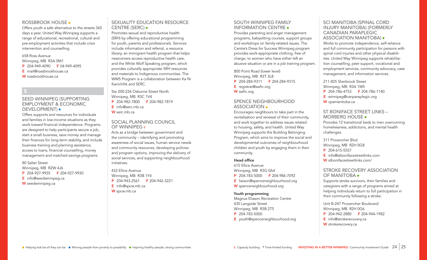#### ROSSBROOK HOUSE

Offers youth a safe alternative to the streets 365 days a year. United Way Winnipeg supports a range of educational, recreational, cultural and pre-employment activities that include crisis intervention and counselling.

#### 658 Ross Avenue

Winnipeg, MB R3A 0M1 P 204-949-4090 F 04-949-4095 E mail@rossbrookhouse.ca W rossbrookhouse.ca

# S

### SEED WINNIPEG (SUPPORTING EMPLOYMENT & ECONOMIC DEVELOPMENT) .

Offers supports and resources for individuals and families in low-income situations as they work toward financial independence. Programs are designed to help participants secure a job, start a small business, save money and manage their finances for long-term stability, and include business training and planning assistance, access to loans, financial counselling, money management and matched savings programs.

80 Salter Street Winnipeg, MB R2W 4J6 P 204-927-9935 F 204-927-9930

- E info@seedwinnipeg.ca
- W seedwinnipeg.ca

#### SEXUALITY EDUCATION RESOURCE CENTRE (SERC)

Promotes sexual and reproductive health (SRH) by offering educational programming for youth, parents and professionals. Services include information and referral, a resource library, an immigrant health program that helps newcomers access reproductive health care, and the White Wolf Speaking program, which provides culturally appropriate SRH resources and materials to Indigenous communities. The WWS Program is a collaboration between Ka Ni Kanichihk and SERC.

Ste 200-226 Osborne Street North Winnipeg, MB R3C 1V4 P 204-982-7800 F 204-982-7819 E info@serc.mb.ca W serc.mb.ca

#### SOCIAL PLANNING COUNCIL OF WINNIPEG c

Acts as a bridge between government and the community – identifying and promoting awareness of social issues, human service needs and community resources, developing policies and program options, improving the delivery of social services, and supporting neighbourhood initiatives.

432 Ellice Avenue Winnipeg, MB R3B 1Y4 P 204-943-2561 F 204-942-3221 E info@spcw.mb.ca W spcw.mb.ca

# SOUTH WINNIPEG FAMILY INFORMATION CENTRE

Provides parenting and anger management programs, babysitting courses, support groups and workshops on family-related issues. The Centre's Dress for Success Winnipeg program provides work-appropriate clothing, free of charge, to women who have either left an abusive situation or are in a job training program.

800 Point Road (lower level) Winnipeg, MB R3T 3L8 P 204-284-9311 F 204-284-9315 E registrar@swfic.org W swfic.org

#### SPENCE NEIGHBOURHOOD ASSOCIATION

Encourages neighbours to take part in the revitalization and renewal of their community, and work together to address issues related to housing, safety, and health. United Way Winnipeg supports the Building Belonging Program, which aims to improve the social and developmental outcomes of neighbourhood children and youth by engaging them in their community.

#### Head office

615 Ellice Avenue Winnipeg, MB R3G 0A4 P 204-783-5000 F 204-986-7092 E liaison@spenceneighbourhood.org W spenceneighbourhood.org

#### Youth programming

Magnus Eliason Recreation Centre 430 Langside Street Winnipeg, MB R3B 2T5 P 204-783-5000 E youth@spenceneighbourhood.org

#### SCI MANITOBA (SPINAL CORD INJURY MANITOBA) (FORMERLY CANADIAN PARAPLEGIC ASSOCIATION MANITOBA)

Works to promote independence, self-reliance and full community participation for persons with spinal cord injuries and other physical disabilities. United Way Winnipeg supports rehabilitation counselling, peer support, vocational and employment services, community advocacy, case management, and information services.

211-825 Sherbrook Street Winnipeg, MB R3A 1M5

- P 204-786-4753 F 204-786-1140
- E winnipeg@canparaplegic.org
- W cpamanitoba.ca

# ST BONIFACE STREET LINKS – MORBERG HOUSE . Provides 12 transitional beds to men overcoming

homelessness, addictions, and mental health challenges.

311 Provencher Blvd Winnipeg, MB R2H 0G8 P 204-615-5557 E info@stbonifacestreetlinks.com W stbonifacestreetlinks.com/

#### STROKE RECOVERY ASSOCIATION OF MANITOBA

Supports stroke survivors, their families and caregivers with a range of programs aimed at helping individuals return to full participation in their community following a stroke.

Unit B-247 Provencher Boulevard Winnipeg, MB R2H 0G6 P 204-942-2880 F 204-944-1982 E info@strokerecovery.ca W strokerecovery.ca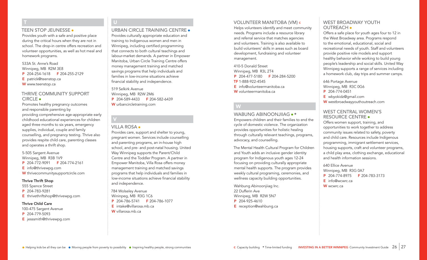#### TEEN STOP JEUNESSE .

T

Provides youth with a safe and positive place during the critical hours when they are not in school. The drop-in centre offers recreation and volunteer opportunities, as well as hot meal and homework programs.

533A St. Anne's Road Winnipeg, MB R2M 3E8 P 204-254-1618 F 204-255-2129 E patrick@teenstop.ca W www.teenstop.ca

#### THRIVE COMMUNITY SUPPORT CIRCLE .

Promotes healthy pregnancy outcomes and responsible parenting by providing comprehensive age-appropriate early childhood educational experiences for children aged three months to six years, emergency supplies, individual, couple and family counselling, and pregnancy testing. Thrive also provides respite child care, parenting classes and operates a thrift shop.

5-505 Sargent Avenue Winnipeg, MB R3B 1V9 P 204-772-9091 F 204-774-2161 E info@thrivewpg.com W thrivecommunitysupportcircle.com

#### Thrive Thrift Shop

555 Spence Street

- P 204-783-9281
- E thrivethriftshop@thrivewpg.com

#### Thrive Child Care

100-475 Sargent Avenue P 204-779-5093

E jesssmith@thrivewpg.com

# U

URBAN CIRCLE TRAINING CENTRE Provides culturally appropriate education and training to Indigenous women and men in Winnipeg, including certified programming that connects to both cultural teachings and labour-market demands. A partner in Empower Manitoba, Urban Circle Training Centre offers money management training and matched savings programs that help individuals and families in low-income situations achieve financial stability and independence.

519 Selkirk Avenue Winnipeg, MB R2W 2M6 P 204-589-4433 F 204-582-6439 W urbancircletraining.com

#### VILLA ROSA ·

V

Provides care, support and shelter to young, pregnant women. Services include counselling and parenting programs, an in-house high school, and pre- and post-natal housing. United Way Winnipeg supports the Parent/Child Centre and the Toddler Program. A partner in Empower Manitoba, Villa Rosa offers money management training and matched savings programs that help individuals and families in low-income situations achieve financial stability and independence.

784 Wolseley Avenue Wininpeg, MB R3G 1C6 P 204-786-5741 F 204-786-1077 E intake@villarosa.mb.ca W villarosa.mb.ca

#### VOLUNTEER MANITOBA (VM) <sup>C</sup>

Helps volunteers identify and meet community needs. Programs include a resource library and referral service that matches agencies and volunteers. Training is also available to build volunteers' skills in areas such as board development, fundraising and volunteer management.

410-5 Donald Street Winnipeg, MB R3L 2T4 P 204-477-5180 F 204-284-5200 TF 1-888-922-4545 E info@volunteermanitoba.ca W volunteermanitoba.ca

# W

#### WABUNG ABINOONJIIAG  $\bullet$  \*

Empowers children and their families to end the cycle of domestic violence. The organization provides opportunities for holistic healing through culturally relevant teachings, programs, advocacy, and counselling.

The Mental Health Cultural Program for Children and Youth adds an inclusive gender identity program for Indigenous youth ages 12-24 focusing on providing culturally appropriate mental health supports. The program provides weekly cultural programing, ceremonies, and wellness capacity building opportunities.

Wahbung Abinooniijag Inc. 22 Dufferin Ave Winnipeg, MB R2W 5N7 P 204-925-4610 E reception@wahbung.ca

# WEST BROADWAY YOUTH OUTREACH .

Offers a safe place for youth ages four to 12 in the West Broadway area. Programs respond to the emotional, educational, social and recreational needs of youth. Staff and volunteers provide positive role models and support healthy behavior while working to build young people's leadership and social skills. United Way Winnipeg supports a range of services including a homework club, day trips and summer camps.

646 Portage Avenue

- Winnipeg, MB R3C 0G6
- P 204-774-0451
- E wbyokidz@gmail.com
- W westbroadwayyouthoutreach.com

### WEST CENTRAL WOMEN'S RESOURCE CENTRE

Offers women support, training, and opportunities to work together to address community issues related to safety, poverty and child care. Resources include Indigenous programming, immigrant settlement services, housing supports, craft and volunteer programs, a child play area, clothing exchange, educational and health information sessions.

640 Ellice Avenue Winnipeg, MB R3G 0A7 P 204-774-8975 F 204-783-3173 E info@wcwrc.ca W wcwrc.ca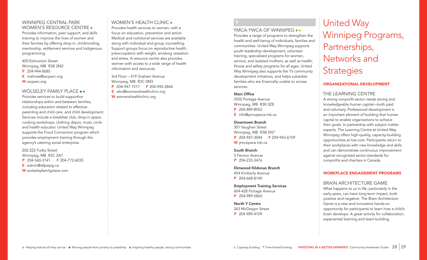### WINNIPEG CENTRAL PARK WOMEN'S RESOURCE CENTRE .

Provides information, peer support, and skills training to improve the lives of women and their families by offering drop-in, childminding, mentorship, settlement services and Indigenous programming.

- 400 Edmonton Street Winnipeg, MB R3B 2M2
- P 204-944-8685
- E melrose@wcpwrc.org
- W wcpwrc.org

# WOLSELEY FAMILY PLACE ..

Provides services to build supportive relationships within and between families, including education related to effective parenting and child care, and child development. Services include a breakfast club, drop-in space, cooking workshops, clothing depot, music circle and health educator. United Way Winnipeg supports the Food Connection program which provides employment training through the agency's catering social enterprise.

202-222 Furby Street Winnipeg, MB R3C 2A7 P 204-560-3141 F 204-772-6035 E admin@wfpwpg.ca W wolseleyfamilyplace.com

# WOMEN'S HEALTH CLINIC .

Provides health services to women, with a focus on education, prevention and action. Medical and nutritional services are available along with individual and group counselling. Support groups focus on reproductive health, preoccupation with weight, smoking cessation and stress. A resource centre also provides women with access to a wide range of health information and resources.

3rd Floor – 419 Graham Avenue Winnipeg, MB R3C 0M3 P 204-947-1517 F 204-943-3844 E whc@womenshealthclinic.org W womenshealthclinic.org

# YMCA-YWCA OF WINNIPEG ••

Provides a range of programs to strengthen the health and well-being of individuals, families and communities. United Way Winnipeg supports youth leadership development, volunteer training, specialized programs for women, seniors, and isolated mothers, as well as health, fitness and safety programs for all ages. United Way Winnipeg also supports the Y's community development initiatives, and helps subsidize families who are financially unable to access services.

#### Main Office

Y

3550 Portage Avenue Winnipeg, MB R3K 0Z8 P 204-889-8052 E info@ymcaywca.mb.ca

#### Downtown Branch

301 Vaughan Street Winnipeg, MB R3B 2N7 P 204-947-3044 F 204-943-6159 W ymcaywca.mb.ca

South Branch 5 Fermor Avenue P 204-233-3476

Elmwood Kildonan Branch 454 Kimberly Avenue P 204-668-8140

Employment Training Services 604-428 Portage Avenue P 204-989-5860

North Y Centre 363 McGregor Street P 204-989-4109

# United Way Winnipeg Programs, Partnerships, Networks and **Strategies**

# ORGANIZATIONAL DEVELOPMENT

# THE LEARNING CENTRE

A strong nonprofit sector needs strong and knowledgeable human capital—both paid and voluntary. Professional development is an important element of building that human capital to enable organizations to achieve their goals. In partnership with subject matter experts, The Learning Centre at United Way Winnipeg offers high-quality, capacity-building opportunities at low cost. Participants return to their workplaces with new knowledge and skills and can demonstrate continuous improvement against recognized sector standards for nonprofits and charities in Canada.

#### WORKPLACE ENGAGEMENT PROGRAMS

### BRAIN ARCHITECTURE GAME

What happens to us in life, particularly in the early years, can have long-term impact, both positive and negative. The Brain Architecture Game is a new and innovative hands-on opportunity for participants to learn how a child's brain develops. A great activity for collaboration, experiential learning and team-building.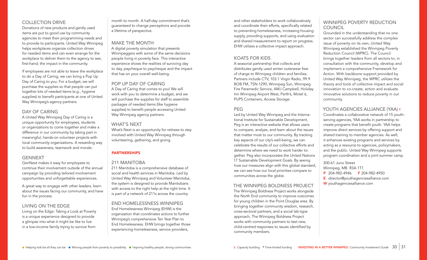# COLLECTION DRIVE

Donations of new products and gently used items are put to good use by community agencies to meet their programming needs and to provide to participants. United Way Winnipeg helps workplaces organize collection drives for needed items and can even arrange for the workplace to deliver them to the agency to see, first-hand, the impact in the community.

If employees are not able to leave the workplace to do a Day of Caring, we can bring a Pop Up Day of Caring to you. For a budget, we will purchase the supplies so that people can put together kits of needed items (e.g., hygiene supplies) to benefit participants at one of United Way Winnipeg's agency partners.

#### DAY OF CARING

A United Way Winnipeg Day of Caring is a unique opportunity for employees, students or organizations to come together and make a difference in our community by taking part in meaningful, hands-on volunteer projects with local community organizations. A rewarding way to build awareness, teamwork and morale.

# GENNEXT

GenNext makes it easy for employees to continue their involvement outside of the annual campaign by providing tailored involvement opportunities and unforgettable experiences.

A great way to engage with other leaders, learn about the issues facing our community, and have fun in the process.

# LIVING ON THE EDGE

Living on the Edge: Taking a Look at Poverty is a unique experience designed to provide a glimpse into what it might be like to live in a low-income family trying to survive from

month to month. A half-day commitment that's guaranteed to change perceptions and provide a lifetime of perspective.

#### MAKE THE MONTH

A digital poverty simulation that presents Winnipeggers with some of the same decisions people living in poverty face. This interactive experience shows the realities of surviving day to day, paycheque to paycheque and the impact that has on your overall well-being.

#### POP UP DAY OF CARING

A Day of Caring that comes to you! We will work with you to determine a budget, and we will purchase the supplies for staff to assemble packages of needed items (like hygiene supplies) to benefit people accessing United Way Winnipeg agency partners.

### WHAT'S NEXT

What's Next is an opportunity for retirees to stay involved with United Way Winnipeg through volunteering, gathering, and giving.

#### PARTNERSHIPS

#### 211 MANITOBA

211 Manitoba is a comprehensive database of social and health services in Manitoba. Led by United Way Winnipeg and Volunteer Manitoba, the system is designed to provide Manitobans with access to the right help at the right time. It is part of a network of 211s across the country.

END HOMELESSNESS WINNIPEG End Homelessness Winnipeg (EHW) is the organization that coordinates actions to further Winnipeg's comprehensive Ten Year Plan to End Homelessness. EHW brings together those experiencing homelessness, service providers,

and other stakeholders to work collaboratively and coordinate their efforts, specifically related to preventing homelessness, increasing housing supply, providing supports, and using evaluation and shared measurement to report on progress. EHW utilizes a collective impact approach.

#### KOATS FOR KIDS

A seasonal partnership that collects and distributes gently used winter outerwear free of charge to Winnipeg children and families. Partners include CTV, 103.1 Virgin Radio, 99.9 BOB FM, TSN 1290, Winnipeg Sun, Winnipeg Fire Paramedic Service, AMJ Campbell, Holiday Inn Winnipeg Airport West, Perth's, Motel 6, PUPS Containers, Access Storage.

### PEG

Led by United Way Winnipeg and the International Institute for Sustainable Development, Peg is an interactive website that allows users to compare, analyze, and learn about the issues that matter most to our community. By tracking key aspects of our city's well-being, we can celebrate the results of our collective efforts and determine where we need to work harder together. Peg also incorporates the United Nations 17 Sustainable Development Goals. By seeing how our measures align with this global standard, we can see how our local priorities compare to communities across the globe.

#### THE WINNIPEG BOLDNESS PROJECT

The Winnipeg Boldness Project works alongside the North End community to improve outcomes for young children in the Point Douglas area. By bringing together community wisdom, research, cross-sectoral partners, and a social lab-type approach, The Winnipeg Boldness Project works with community partners to test new, child-centred responses to issues identified by community members.

# WINNIPEG POVERTY REDUCTION **COUNCIL**

Grounded in the understanding that no one sector can successfully address the complex issue of poverty on its own, United Way Winnipeg established the Winnipeg Poverty Reduction Council (WPRC). The Council brings together leaders from all sectors to, in consultation with the community, develop and implement a comprehensive Framework for Action. With backbone support provided by United Way Winnipeg, the WPRC utilizes the theory and tools of collective impact and social innovation to co-create, action and evaluate innovative solutions to reduce poverty in our community.

# YOUTH AGENCIES ALLIANCE (YAA) c

Coordinates a collaborative network of 15 youthserving agencies, YAA works in partnership to create programs that benefit youth. YAA helps improve direct services by offering support and shared training to member agencies. As well, it enhances existing programs and services by acting as a resource to agencies, policymakers, and the public. United Way Winnipeg supports program coordination and a joint summer camp.

300-61 Juno Street Winnipeg, MB R3A 1T1

- P 204-982-4946 F 204-982-4950
- E director@youthagenciesalliance.com
- W youthagenciesalliance.com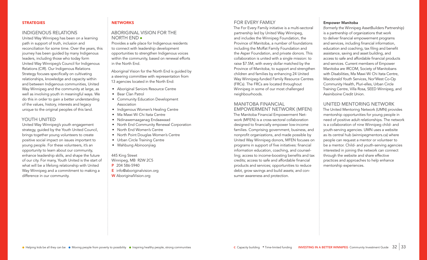#### **STRATEGIES**

#### INDIGENOUS RELATIONS

United Way Winnipeg has been on a learning path in support of truth, inclusion and reconciliation for some time. Over the years, this journey has been guided by many Indigenous leaders, including those who today form United Way Winnipeg's Council for Indigenous Relations (CIR). Our Indigenous Relations Strategy focuses specifically on cultivating relationships, knowledge and capacity within and between Indigenous communities, United Way Winnipeg and the community at large, as well as involving youth in meaningful ways. We do this in order to gain a better understanding of the values, history, interests and legacy unique to the original peoples of this land.

#### YOUTH UNITED

United Way Winnipeg's youth engagement strategy, guided by the Youth United Council, brings together young volunteers to create positive social impact on issues important to young people. For these volunteers, it's an opportunity to learn about our community, enhance leadership skills, and shape the future of our city. For many, Youth United is the start of what will be a lifelong relationship with United Way Winnipeg and a commitment to making a difference in our community.

#### **NETWORKS**

#### ABORIGINAL VISION FOR THE NORTH END

Provides a safe place for Indigenous residents to connect with leadership development opportunities to strengthen Indigenous voices within the community, based on renewal efforts in the North End.

Aboriginal Vision for the North End is guided by a steering committee with representation from 13 agencies located in the North End:

- Aboriginal Seniors Resource Centre
- Bear Clan Patrol
- Community Education Development Association
- Indigenous Women's Healing Centre
- Ma Mawi Wi Chi Itata Centre
- Ndinawemaaganag Endaawaad
- North End Community Renewal Corporation
- North End Women's Centre
- North Point Douglas Women's Centre
- Urban Circle Training Centre
- Wahbung Abinoonjiiag

#### 445 King Street

Winnipeg, MB R2W 2C5 P 204 586-5940 E info@aboriginalvision.org

W AboriginalVision.org

# FOR EVERY FAMILY

The For Every Family initiative is a multi-sectoral partnership led by United Way Winnipeg, and includes the Winnipeg Foundation, the Province of Manitoba, a number of foundations including the Moffat Family Foundation and the Asper Foundation, and private donors. This collaboration is united with a single mission: to raise \$7.5M, with every dollar matched by the Province of Manitoba, to support and strengthen children and families by enhancing 24 United Way Winnipeg-funded Family Resource Centres (FRCs). The FRCs are located throughout Winnipeg in some of our most challenged neighbourhoods.

#### MANITOBA FINANCIAL

EMPOWERMENT NETWORK (MFEN) The Manitoba Financial Empowerment Network (MFEN) is a cross-sectoral collaboration designed to financially empower low-income families. Comprising government, business, and nonprofit organizations, and made possible by United Way Winnipeg donors, MFEN focuses on programs in support of five initiatives: financial information education, coaching, and counselling; access to income-boosting benefits and tax credits; access to safe and affordable financial products and services; opportunities to reduce debt, grow savings and build assets; and consumer awareness and protection.

#### Empower Manitoba

(formerly the Winnipeg AssetBuilders Partnership) is a partnership of organizations that work to deliver financial empowerment programs and services, including financial information, education and coaching, tax filing and benefit assistance, saving and asset building, and access to safe and affordable financial products and services. Current members of Empower Manitoba are IRCOM, Society of Manitobans with Disabilities, Ma Mawi Wi Chi Itata Centre, Macdonald Youth Services, Nor'West Co-Op Community Health, Pluri-elles, Urban Circle Training Centre, Villa Rosa, SEED Winnipeg, and Assiniboine Credit Union.

#### UNITED MENTORING NETWORK

The United Mentoring Network (UMN) provides mentorship opportunities for young people in need of positive adult relationships. The network is a collaboration of nine Winnipeg child- and youth-serving agencies. UMN uses a website as its central hub (winnipegmentors.ca) where people can request a mentor or volunteer to be a mentor. Child- and youth-serving agencies interested in joining the network can connect through the website and share effective practices and approaches to help enhance mentorship experiences.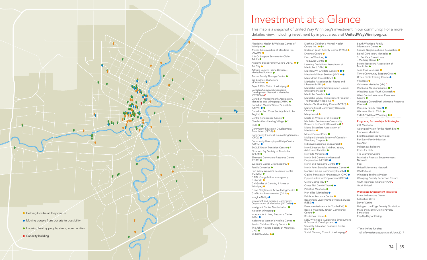

# Investment at a Glance

This map is a snapshot of United Way Winnipeg's investment in our community. For a more detailed view, including investment by impact area, visit **UnitedWayWinnipeg.ca**.

Aboriginal Health & Wellness Centre of Winnipeg<sup>•</sup> African Communities of Manitoba Inc. (ACOMI) A & O: Support Services for Older Adults  $\bullet$ Andrews Street Family Centre (ASFC) <sup>●</sup> Art City ● Arthritis Society, Prairie Division – Manitoba/Nunavut <sup>O</sup> Aurora Family Therapy Centre Big Brothers Big Sisters of Winnipeg<sup>o</sup> Boys & Girls Clubs of Winnipeg  $\bullet$ Canadian Community Economic Development Network – Manitoba (CCEDNet) C Canadian Mental Health Association, Manitoba and Winnipeg (CMHA)  $\bullet$ Canadian Muslim Women's Institute (CMWI) Canadian Red Cross Society (Manitoba Region)  $\bullet$ Centre Renaissance Centre Clan Mothers Healing Village \* CNIB<sup>O</sup> Community Education Development Association (CEDA) Community Financial Counselling Services (CFCS) Community Unemployed Help Centre<br>(CUHC) ● EAGLE Urban Transition Centre \* Elizabeth Fry Society of Manitoba (EFSM) Elmwood Community Resource Centre (ECRC) Evermore Gather Grow Lead Inc.  $\bullet$ Family Dynamics  $\bullet$ Fort Garry Women's Resource Centre (FGWRC) GAIN (Gang Action Interagency Network) ● Girl Guides of Canada, 3 Areas of Winnipeg<sup>®</sup> Good Neighbours Active Living Centre Graffiti Art Programming (GAP) ImagineAbility Immigrant and Refugee Community Organization of Manitoba (IRCOM) Immigrant Centre Manitoba Inc. Inclusion Winnipeg  $\bullet$ Independent Living Resource Centre  $(ILR\dot{C})$   $\bullet$ Indigenous Women's Healing Centre Jewish Child and Family Service  $\bullet$ The John Howard Society of Manitoba  $(JHS)$ Kã Ni Kãnichihk ●●

Kidthink Children's Mental Health<br>Centre Inc. ● ● \* Kildonan Youth Activity Centre (KYAC) Knowles Centre L'Arche Winnipeg<sup>®</sup> The Laurel Centre Learning Disabilities Association of Manitoba (LDAM) Ma Mawi Wi Chi Itata Centre <sup>OO</sup> Macdonald Youth Services (MYS) <sup>O</sup> Main Street Project (MSP) Manitoba Association for Rights and Liberties (MARL) ● Manitoba Interfaith Immigration Council (Welcome Place) ● Manitoba Possible <sup>O</sup> Manitoba School Improvement Program – The Peaceful Village Inc. Maples Youth Activity Centre (MYAC) ● Marlene Street Community Resource Centre<sup>®</sup> Marymound  $\bullet$ Meals on Wheels of Winnipeg Mediation Services – A Community Resource for Conflict Resolution C Mood Disorders Association of Manitoba<sup>O</sup> Mount Carmel Clinic <sup>O</sup> Multiple Sclerosis Society of Canada – Winnipeg Chapter  $\bullet$ Ndinawemaaganag Endaawaad New Directions for Children, Youth, Adults and Families <sup>O</sup> New Life Ministries ● North End Community Renewal Corporation (NECRC) North End Women's Centre ●● North Point Douglas Women's Centre NorWest Co-op Community Health  $\bullet$ Ogijiita Pimatiswin Kinamatawin (OPK) Opportunities for Employment (OFE) Oshki-Giizhig Inc. ● \* Oyate Tipi Cumini Yape Palliative Manitoba<sup>®</sup> Pluri-elles (Manitoba) Rainbow Resource Centre

Reaching E-Quality Employment Services (REES) Resource Assistance for Youth (RaY) <sup>O</sup> Rose & Max Rady Jewish Community Centre<sup>®</sup> Rossbrook House SEED Winnipeg (Supporting Employment & Economic Development) Sexuality Education Resource Centre  $(SERC)$ 

Winnipeg Boldness Project Winnipeg Poverty Reduction Council Youth Agencies Alliance (YAA) C Youth United Workplace Engagement Initiatives Brain Architecture Game Collection Drive Day of Caring Living on the Edge Poverty Simulation Make the Month Online Poverty Simulation

Manitoba Financial Empowerment

United Mentoring Network

South Winnipeg Family Information Centre

Volunteer Manitoba (VM) C Wahbung Abinoonjiiag Inc. \* West Broadway Youth Outreach <sup>O</sup> West Central Women's Resource

Wolseley Family Place  $\bullet$ Women's Health Clinic  $\bullet$ YMCA-YWCA of Winnipeg ●● Programs, Partnerships & Strategies

Winnipeg Central Park Women's Resource

Aboriginal Vision for the North End

Manitoba<sup>®</sup> Teen Stop Jeunesse Thrive Community Support Circle <sup>O</sup> Urban Circle Training Centre

Villa Rosa

Centre <sup>O</sup>

Centre<sup>d</sup>

211 Manitoba

GenNext Indigenous Relations Koats for Kids The Learning Centre

Network Peg

What's Next

Empower Manitoba End Homelessness Winnipeg For Every Family Initiative

Spence Neighbourhood Association <sup>O</sup> Spinal Cord Injury Manitoba <sup>O</sup> St. Boniface Street Links – Morberg House \* Stroke Recovery Association of

Pop Up Day of Caring

Social Planning Council of Winnipeg C

\* Time-limited funding All information accurate as of June 2019